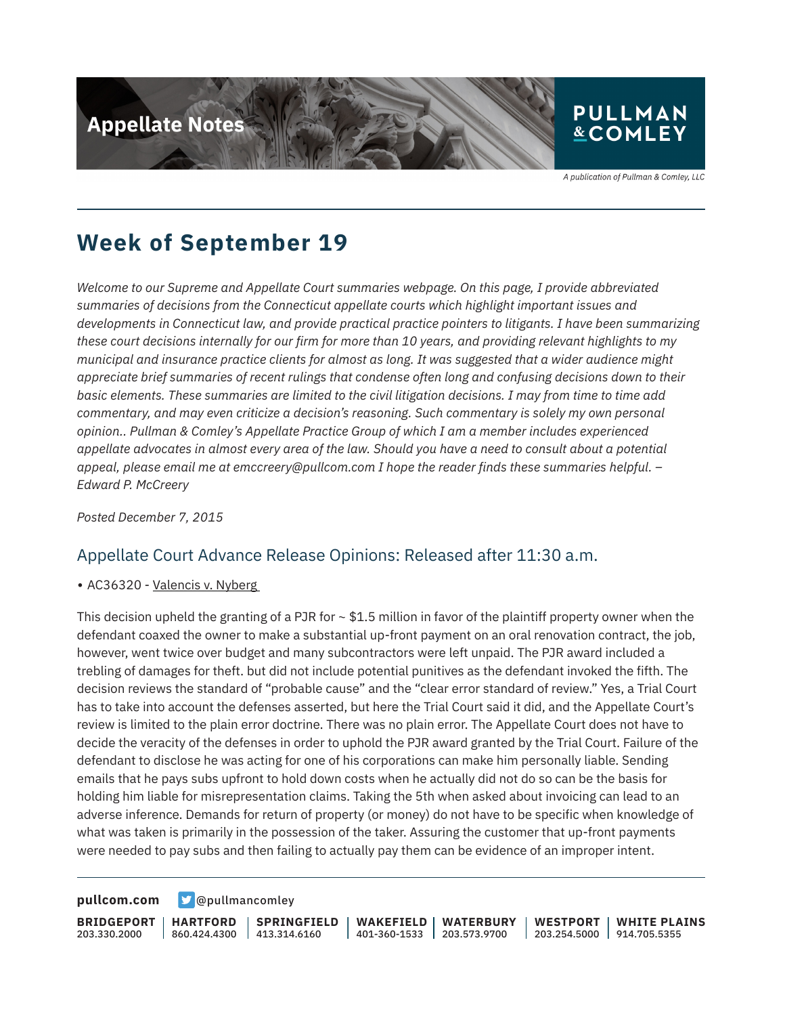

**Week of September 19**

*Welcome to our Supreme and Appellate Court summaries webpage. On this page, I provide abbreviated summaries of decisions from the Connecticut appellate courts which highlight important issues and developments in Connecticut law, and provide practical practice pointers to litigants. I have been summarizing these court decisions internally for our firm for more than 10 years, and providing relevant highlights to my municipal and insurance practice clients for almost as long. It was suggested that a wider audience might appreciate brief summaries of recent rulings that condense often long and confusing decisions down to their basic elements. These summaries are limited to the civil litigation decisions. I may from time to time add commentary, and may even criticize a decision's reasoning. Such commentary is solely my own personal opinion.. Pullman & Comley's Appellate Practice Group of which I am a member includes experienced appellate advocates in almost every area of the law. Should you have a need to consult about a potential appeal, please email me at emccreery@pullcom.com I hope the reader finds these summaries helpful. – Edward P. McCreery*

*Posted December 7, 2015*

### Appellate Court Advance Release Opinions: Released after 11:30 a.m.

• AC36320 - Valencis v. Nyberg

This decision upheld the granting of a PJR for  $\sim$  \$1.5 million in favor of the plaintiff property owner when the defendant coaxed the owner to make a substantial up-front payment on an oral renovation contract, the job, however, went twice over budget and many subcontractors were left unpaid. The PJR award included a trebling of damages for theft. but did not include potential punitives as the defendant invoked the fifth. The decision reviews the standard of "probable cause" and the "clear error standard of review." Yes, a Trial Court has to take into account the defenses asserted, but here the Trial Court said it did, and the Appellate Court's review is limited to the plain error doctrine. There was no plain error. The Appellate Court does not have to decide the veracity of the defenses in order to uphold the PJR award granted by the Trial Court. Failure of the defendant to disclose he was acting for one of his corporations can make him personally liable. Sending emails that he pays subs upfront to hold down costs when he actually did not do so can be the basis for holding him liable for misrepresentation claims. Taking the 5th when asked about invoicing can lead to an adverse inference. Demands for return of property (or money) do not have to be specific when knowledge of what was taken is primarily in the possession of the taker. Assuring the customer that up-front payments were needed to pay subs and then failing to actually pay them can be evidence of an improper intent.

**[pullcom.com](https://www.pullcom.com) g** [@pullmancomley](https://twitter.com/PullmanComley)

**BRIDGEPORT** 203.330.2000

**HARTFORD** 860.424.4300

**SPRINGFIELD** 413.314.6160

**WAKEFIELD** 401-360-1533 203.573.9700 **WATERBURY WESTPORT**

203.254.5000 914.705.5355 **WHITE PLAINS**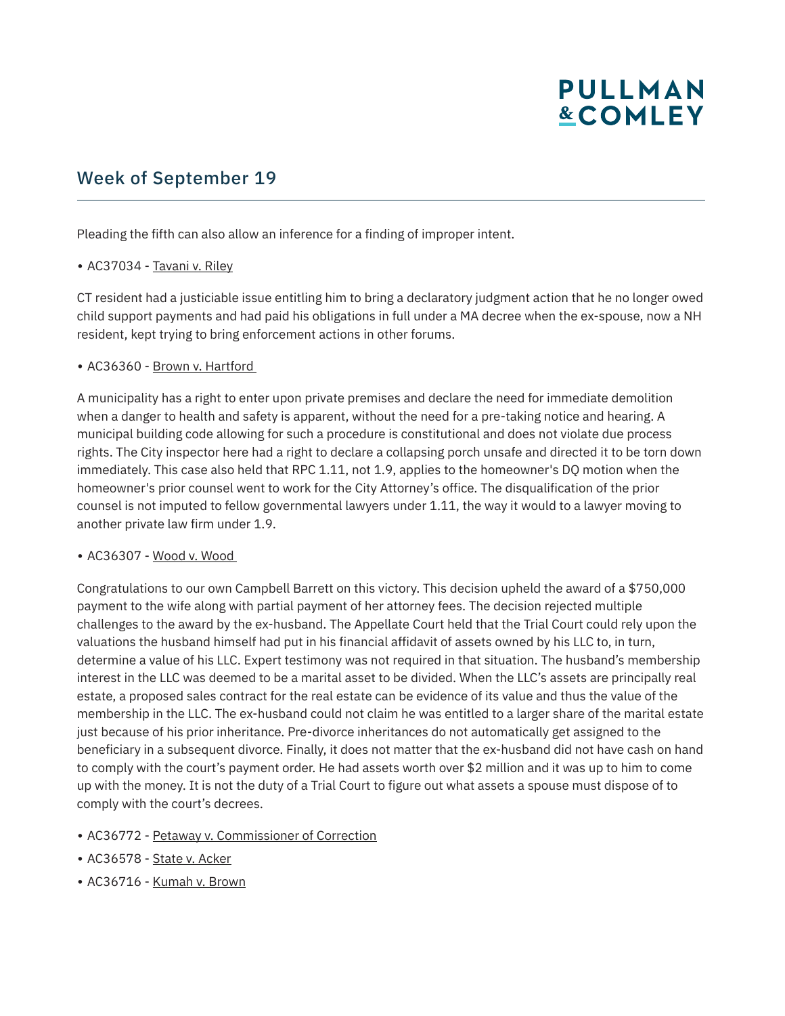## **PULLMAN &COMLEY**

## Week of September 19

Pleading the fifth can also allow an inference for a finding of improper intent.

#### • AC37034 - Tavani v. Riley

CT resident had a justiciable issue entitling him to bring a declaratory judgment action that he no longer owed child support payments and had paid his obligations in full under a MA decree when the ex-spouse, now a NH resident, kept trying to bring enforcement actions in other forums.

#### • AC36360 - Brown v. Hartford

A municipality has a right to enter upon private premises and declare the need for immediate demolition when a danger to health and safety is apparent, without the need for a pre-taking notice and hearing. A municipal building code allowing for such a procedure is constitutional and does not violate due process rights. The City inspector here had a right to declare a collapsing porch unsafe and directed it to be torn down immediately. This case also held that RPC 1.11, not 1.9, applies to the homeowner's DQ motion when the homeowner's prior counsel went to work for the City Attorney's office. The disqualification of the prior counsel is not imputed to fellow governmental lawyers under 1.11, the way it would to a lawyer moving to another private law firm under 1.9.

#### ● AC36307 - Wood v. Wood

Congratulations to our own Campbell Barrett on this victory. This decision upheld the award of a \$750,000 payment to the wife along with partial payment of her attorney fees. The decision rejected multiple challenges to the award by the ex-husband. The Appellate Court held that the Trial Court could rely upon the valuations the husband himself had put in his financial affidavit of assets owned by his LLC to, in turn, determine a value of his LLC. Expert testimony was not required in that situation. The husband's membership interest in the LLC was deemed to be a marital asset to be divided. When the LLC's assets are principally real estate, a proposed sales contract for the real estate can be evidence of its value and thus the value of the membership in the LLC. The ex-husband could not claim he was entitled to a larger share of the marital estate just because of his prior inheritance. Pre-divorce inheritances do not automatically get assigned to the beneficiary in a subsequent divorce. Finally, it does not matter that the ex-husband did not have cash on hand to comply with the court's payment order. He had assets worth over \$2 million and it was up to him to come up with the money. It is not the duty of a Trial Court to figure out what assets a spouse must dispose of to comply with the court's decrees.

- AC36772 Petaway v. Commissioner of Correction
- AC36578 State v. Acker
- AC36716 Kumah v. Brown